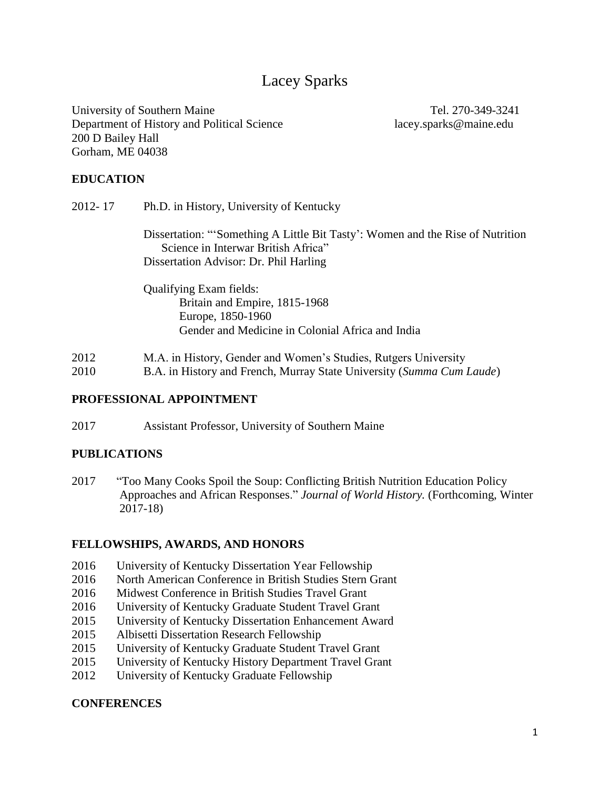# Lacey Sparks

University of Southern Maine Tel. 270-349-3241 Department of History and Political Science lacey.sparks@maine.edu 200 D Bailey Hall Gorham, ME 04038

### **EDUCATION**

| 2012-17 | Ph.D. in History, University of Kentucky                                                                             |  |  |
|---------|----------------------------------------------------------------------------------------------------------------------|--|--|
|         | Dissertation: "Something A Little Bit Tasty': Women and the Rise of Nutrition<br>Science in Interwar British Africa" |  |  |
|         | Dissertation Advisor: Dr. Phil Harling                                                                               |  |  |
|         | <b>Qualifying Exam fields:</b>                                                                                       |  |  |
|         | Britain and Empire, 1815-1968                                                                                        |  |  |
|         | Europe, 1850-1960                                                                                                    |  |  |
|         | Gender and Medicine in Colonial Africa and India                                                                     |  |  |
|         | TT': C 1 1TT 1 C 1' D TT'                                                                                            |  |  |

2012 M.A. in History, Gender and Women's Studies, Rutgers University

2010 B.A. in History and French, Murray State University (*Summa Cum Laude*)

#### **PROFESSIONAL APPOINTMENT**

2017 Assistant Professor, University of Southern Maine

#### **PUBLICATIONS**

2017 "Too Many Cooks Spoil the Soup: Conflicting British Nutrition Education Policy Approaches and African Responses." *Journal of World History.* (Forthcoming, Winter 2017-18)

#### **FELLOWSHIPS, AWARDS, AND HONORS**

- 2016 University of Kentucky Dissertation Year Fellowship
- 2016 North American Conference in British Studies Stern Grant
- 2016 Midwest Conference in British Studies Travel Grant
- 2016 University of Kentucky Graduate Student Travel Grant
- 2015 University of Kentucky Dissertation Enhancement Award
- 2015 Albisetti Dissertation Research Fellowship
- 2015 University of Kentucky Graduate Student Travel Grant
- 2015 University of Kentucky History Department Travel Grant
- 2012 University of Kentucky Graduate Fellowship

#### **CONFERENCES**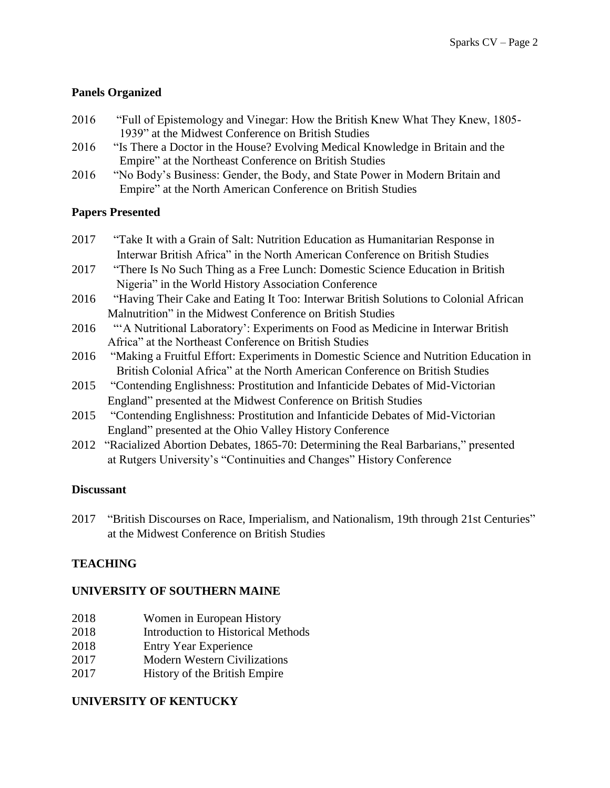# **Panels Organized**

- 2016 "Full of Epistemology and Vinegar: How the British Knew What They Knew, 1805- 1939" at the Midwest Conference on British Studies
- 2016 "Is There a Doctor in the House? Evolving Medical Knowledge in Britain and the Empire" at the Northeast Conference on British Studies
- 2016 "No Body's Business: Gender, the Body, and State Power in Modern Britain and Empire" at the North American Conference on British Studies

# **Papers Presented**

- 2017 "Take It with a Grain of Salt: Nutrition Education as Humanitarian Response in Interwar British Africa" in the North American Conference on British Studies
- 2017 "There Is No Such Thing as a Free Lunch: Domestic Science Education in British Nigeria" in the World History Association Conference
- 2016 "Having Their Cake and Eating It Too: Interwar British Solutions to Colonial African Malnutrition" in the Midwest Conference on British Studies
- 2016 "'A Nutritional Laboratory': Experiments on Food as Medicine in Interwar British Africa" at the Northeast Conference on British Studies
- 2016 "Making a Fruitful Effort: Experiments in Domestic Science and Nutrition Education in British Colonial Africa" at the North American Conference on British Studies
- 2015 "Contending Englishness: Prostitution and Infanticide Debates of Mid-Victorian England" presented at the Midwest Conference on British Studies
- 2015 "Contending Englishness: Prostitution and Infanticide Debates of Mid-Victorian England" presented at the Ohio Valley History Conference
- 2012 "Racialized Abortion Debates, 1865-70: Determining the Real Barbarians," presented at Rutgers University's "Continuities and Changes" History Conference

# **Discussant**

2017 "British Discourses on Race, Imperialism, and Nationalism, 19th through 21st Centuries" at the Midwest Conference on British Studies

# **TEACHING**

# **UNIVERSITY OF SOUTHERN MAINE**

- 2018 Women in European History
- 2018 Introduction to Historical Methods
- 2018 Entry Year Experience
- 2017 Modern Western Civilizations
- 2017 History of the British Empire

# **UNIVERSITY OF KENTUCKY**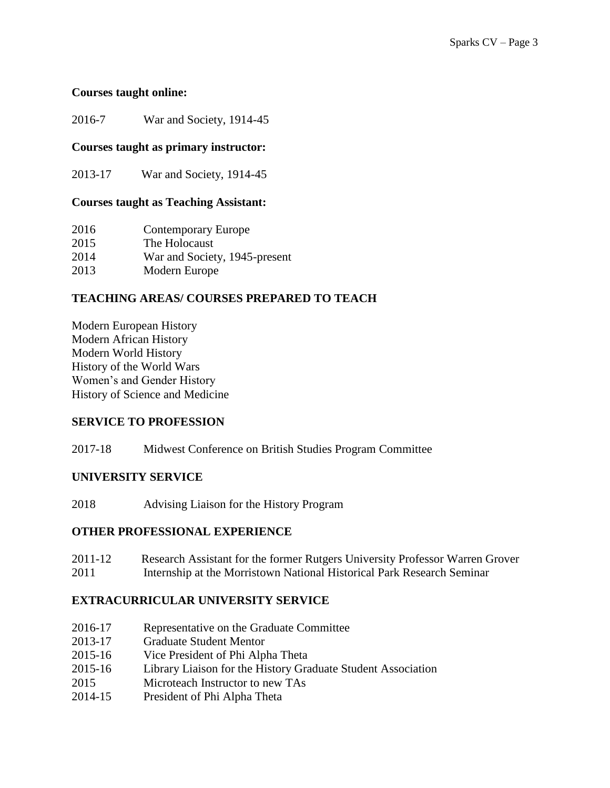#### **Courses taught online:**

2016-7 War and Society, 1914-45

#### **Courses taught as primary instructor:**

2013-17 War and Society, 1914-45

#### **Courses taught as Teaching Assistant:**

| 2016 | <b>Contemporary Europe</b>    |
|------|-------------------------------|
| 2015 | The Holocaust                 |
| 2014 | War and Society, 1945-present |
| 2013 | Modern Europe                 |

# **TEACHING AREAS/ COURSES PREPARED TO TEACH**

Modern European History Modern African History Modern World History History of the World Wars Women's and Gender History History of Science and Medicine

# **SERVICE TO PROFESSION**

2017-18 Midwest Conference on British Studies Program Committee

# **UNIVERSITY SERVICE**

2018 Advising Liaison for the History Program

#### **OTHER PROFESSIONAL EXPERIENCE**

| 2011-12 | Research Assistant for the former Rutgers University Professor Warren Grover |
|---------|------------------------------------------------------------------------------|
| 2011    | Internship at the Morristown National Historical Park Research Seminar       |

# **EXTRACURRICULAR UNIVERSITY SERVICE**

- 2016-17 Representative on the Graduate Committee
- 2013-17 Graduate Student Mentor
- 2015-16 Vice President of Phi Alpha Theta
- 2015-16 Library Liaison for the History Graduate Student Association
- 2015 Microteach Instructor to new TAs
- 2014-15 President of Phi Alpha Theta